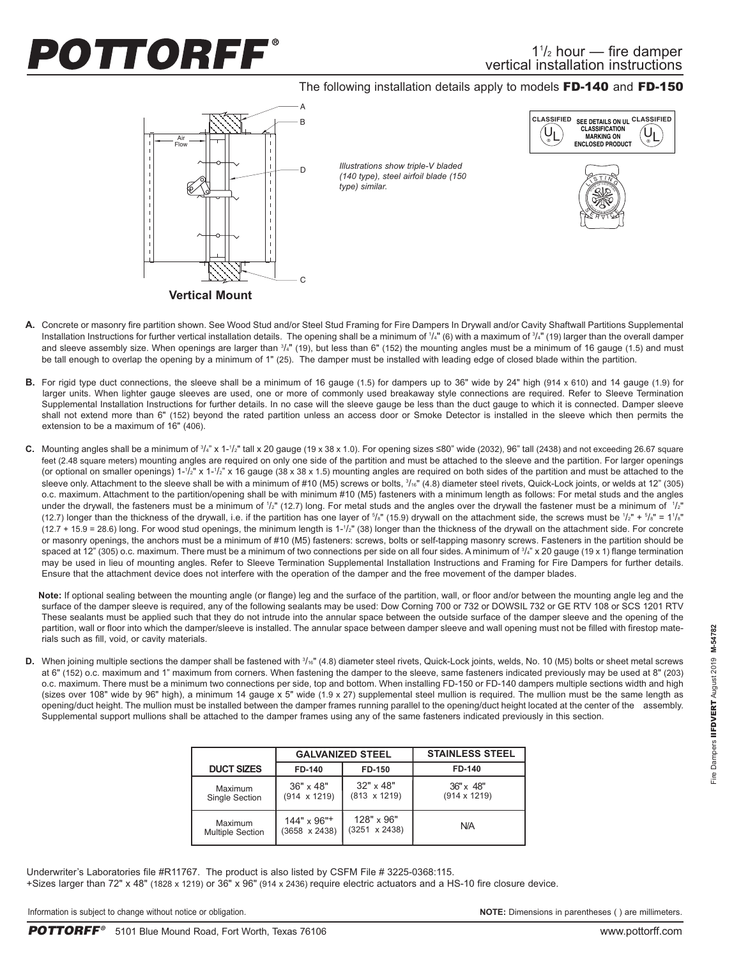## OTTORFF®

## The following installation details apply to models FD-140 and FD-150



- A. Concrete or masonry fire partition shown. See Wood Stud and/or Steel Stud Framing for Fire Dampers In Drywall and/or Cavity Shaftwall Partitions Supplemental Installation Instructions for further vertical installation details. The opening shall be a minimum of 1/4" (6) with a maximum of 3/4" (19) larger than the overall damper and sleeve assembly size. When openings are larger than  $3/4"$  (19), but less than 6" (152) the mounting angles must be a minimum of 16 gauge (1.5) and must be tall enough to overlap the opening by a minimum of 1" (25). The damper must be installed with leading edge of closed blade within the partition.
- **B.** For rigid type duct connections, the sleeve shall be a minimum of 16 gauge (1.5) for dampers up to 36" wide by 24" high (914 x 610) and 14 gauge (1.9) for larger units. When lighter gauge sleeves are used, one or more of commonly used breakaway style connections are required. Refer to Sleeve Termination Supplemental Installation Instructions for further details. In no case will the sleeve gauge be less than the duct gauge to which it is connected. Damper sleeve shall not extend more than 6" (152) beyond the rated partition unless an access door or Smoke Detector is installed in the sleeve which then permits the extension to be a maximum of 16" (406).
- **C.** Mounting angles shall be a minimum of <sup>3</sup>/<sub>4</sub>" x 1-1/<sub>2</sub>" tall x 20 gauge (19 x 38 x 1.0). For opening sizes ≤80" wide (2032), 96" tall (2438) and not exceeding 26.67 square feet (2.48 square meters) mounting angles are required on only one side of the partition and must be attached to the sleeve and the partition. For larger openings (or optional on smaller openings)  $1$ -'/ $z$ " x  $1$ -'/ $z$ " x 16 gauge (38 x 38 x 1.5) mounting angles are required on both sides of the partition and must be attached to the sleeve only. Attachment to the sleeve shall be with a minimum of #10 (M5) screws or bolts,  $\frac{3}{16}$ " (4.8) diameter steel rivets, Quick-Lock joints, or welds at 12" (305) o.c. maximum. Attachment to the partition/opening shall be with minimum #10 (M5) fasteners with a minimum length as follows: For metal studs and the angles under the drywall, the fasteners must be a minimum of 1/2" (12.7) long. For metal studs and the angles over the drywall the fastener must be a minimum of 1/2" (12.7) longer than the thickness of the drywall, i.e. if the partition has one layer of  $5/s$ " (15.9) drywall on the attachment side, the screws must be  $1/z$ " +  $5/s$ " = 11/s" (12.7 + 15.9 = 28.6) long. For wood stud openings, the minimum length is 1-1/z" (38) longer than the thickness of the drywall on the attachment side. For concrete or masonry openings, the anchors must be a minimum of #10 (M5) fasteners: screws, bolts or self-tapping masonry screws. Fasteners in the partition should be spaced at 12" (305) o.c. maximum. There must be a minimum of two connections per side on all four sides. A minimum of 3/4" x 20 gauge (19 x 1) flange termination may be used in lieu of mounting angles. Refer to Sleeve Termination Supplemental Installation Instructions and Framing for Fire Dampers for further details. Ensure that the attachment device does not interfere with the operation of the damper and the free movement of the damper blades.

**Note:** If optional sealing between the mounting angle (or flange) leg and the surface of the partition, wall, or floor and/or between the mounting angle leg and the surface of the damper sleeve is required, any of the following sealants may be used: Dow Corning 700 or 732 or DOWSIL 732 or GE RTV 108 or SCS 1201 RTV These sealants must be applied such that they do not intrude into the annular space between the outside surface of the damper sleeve and the opening of the partition, wall or floor into which the damper/sleeve is installed. The annular space between damper sleeve and wall opening must not be filled with firestop materials such as fill, void, or cavity materials.

D. When joining multiple sections the damper shall be fastened with  $\frac{3}{16}$ " (4.8) diameter steel rivets, Quick-Lock joints, welds, No. 10 (M5) bolts or sheet metal screws at 6" (152) o.c. maximum and 1" maximum from corners. When fastening the damper to the sleeve, same fasteners indicated previously may be used at 8" (203) o.c. maximum. There must be a minimum two connections per side, top and bottom. When installing FD-150 or FD-140 dampers multiple sections width and high (sizes over 108" wide by 96" high), a minimum 14 gauge x 5" wide (1.9 x 27) supplemental steel mullion is required. The mullion must be the same length as opening/duct height. The mullion must be installed between the damper frames running parallel to the opening/duct height located at the center of the assembly. Supplemental support mullions shall be attached to the damper frames using any of the same fasteners indicated previously in this section.

|                         | <b>GALVANIZED STEEL</b>        |                      | <b>STAINLESS STEEL</b> |
|-------------------------|--------------------------------|----------------------|------------------------|
| <b>DUCT SIZES</b>       | FD-140                         | FD-150               | FD-140                 |
| Maximum                 | $36" \times 48"$               | $32" \times 48"$     | $36'' \times 48''$     |
| Single Section          | $(914 \times 1219)$            | $(813 \times 1219)$  | $(914 \times 1219)$    |
| Maximum                 | $144" \times 96"$ <sup>+</sup> | 128" x 96"           | N/A                    |
| <b>Multiple Section</b> | $(3658 \times 2438)$           | $(3251 \times 2438)$ |                        |

Underwriter's Laboratories file #R11767. The product is also listed by CSFM File # 3225-0368:115. +Sizes larger than 72" x 48" (1828 x 1219) or 36" x 96" (914 x 2436) require electric actuators and a HS-10 fire closure device.